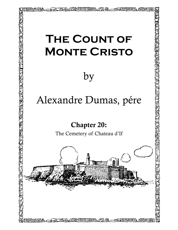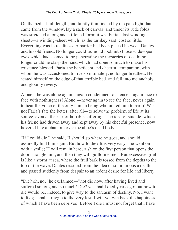On the bed, at full length, and faintly illuminated by the pale light that came from the window, lay a sack of canvas, and under its rude folds was stretched a long and stiffened form; it was Faria's last winding– sheet,—a winding–sheet which, as the turnkey said, cost so little. Everything was in readiness. A barrier had been placed between Dantes and his old friend. No longer could Edmond look into those wide–open eyes which had seemed to be penetrating the mysteries of death; no longer could he clasp the hand which had done so much to make his existence blessed. Faria, the beneficent and cheerful companion, with whom he was accustomed to live so intimately, no longer breathed. He seated himself on the edge of that terrible bed, and fell into melancholy and gloomy revery.

Alone—he was alone again—again condemned to silence—again face to face with nothingness! Alone!—never again to see the face, never again to hear the voice of the only human being who united him to earth! Was not Faria's fate the better, after all—to solve the problem of life at its source, even at the risk of horrible suffering? The idea of suicide, which his friend had driven away and kept away by his cheerful presence, now hovered like a phantom over the abbe's dead body.

"If I could die," he said, "I should go where he goes, and should assuredly find him again. But how to die? It is very easy," he went on with a smile; "I will remain here, rush on the first person that opens the door, strangle him, and then they will guillotine me." But excessive grief is like a storm at sea, where the frail bark is tossed from the depths to the top of the wave. Dantes recoiled from the idea of so infamous a death, and passed suddenly from despair to an ardent desire for life and liberty.

"Die? oh, no," he exclaimed—"not die now, after having lived and suffered so long and so much! Die? yes, had I died years ago; but now to die would be, indeed, to give way to the sarcasm of destiny. No, I want to live; I shall struggle to the very last; I will yet win back the happiness of which I have been deprived. Before I die I must not forget that I have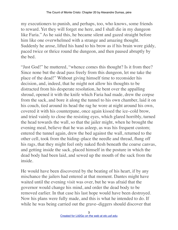my executioners to punish, and perhaps, too, who knows, some friends to reward. Yet they will forget me here, and I shall die in my dungeon like Faria." As he said this, he became silent and gazed straight before him like one overwhelmed with a strange and amazing thought. Suddenly he arose, lifted his hand to his brow as if his brain wore giddy, paced twice or thrice round the dungeon, and then paused abruptly by the bed.

"Just God!" he muttered, "whence comes this thought? Is it from thee? Since none but the dead pass freely from this dungeon, let me take the place of the dead!" Without giving himself time to reconsider his decision, and, indeed, that he might not allow his thoughts to be distracted from his desperate resolution, he bent over the appalling shroud, opened it with the knife which Faria had made, drew the corpse from the sack, and bore it along the tunnel to his own chamber, laid it on his couch, tied around its head the rag he wore at night around his own, covered it with his counterpane, once again kissed the ice–cold brow, and tried vainly to close the resisting eyes, which glared horribly, turned the head towards the wall, so that the jailer might, when he brought the evening meal, believe that he was asleep, as was his frequent custom; entered the tunnel again, drew the bed against the wall, returned to the other cell, took from the hiding–place the needle and thread, flung off his rags, that they might feel only naked flesh beneath the coarse canvas, and getting inside the sack, placed himself in the posture in which the dead body had been laid, and sewed up the mouth of the sack from the inside.

He would have been discovered by the beating of his heart, if by any mischance the jailers had entered at that moment. Dantes might have waited until the evening visit was over, but he was afraid that the governor would change his mind, and order the dead body to be removed earlier. In that case his last hope would have been destroyed. Now his plans were fully made, and this is what he intended to do. If while he was being carried out the grave–diggers should discover that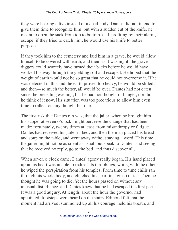they were bearing a live instead of a dead body, Dantes did not intend to give them time to recognize him, but with a sudden cut of the knife, he meant to open the sack from top to bottom, and, profiting by their alarm, escape; if they tried to catch him, he would use his knife to better purpose.

If they took him to the cemetery and laid him in a grave, he would allow himself to be covered with earth, and then, as it was night, the grave– diggers could scarcely have turned their backs before he would have worked his way through the yielding soil and escaped. He hoped that the weight of earth would not be so great that he could not overcome it. If he was detected in this and the earth proved too heavy, he would be stifled, and then—so much the better, all would be over. Dantes had not eaten since the preceding evening, but he had not thought of hunger, nor did he think of it now. His situation was too precarious to allow him even time to reflect on any thought but one.

The first risk that Dantes ran was, that the jailer, when he brought him his supper at seven o'clock, might perceive the change that had been made; fortunately, twenty times at least, from misanthropy or fatigue, Dantes had received his jailer in bed, and then the man placed his bread and soup on the table, and went away without saying a word. This time the jailer might not be as silent as usual, but speak to Dantes, and seeing that he received no reply, go to the bed, and thus discover all.

When seven o'clock came, Dantes' agony really began. His hand placed upon his heart was unable to redress its throbbings, while, with the other he wiped the perspiration from his temples. From time to time chills ran through his whole body, and clutched his heart in a grasp of ice. Then he thought he was going to die. Yet the hours passed on without any unusual disturbance, and Dantes knew that he had escaped the first peril. It was a good augury. At length, about the hour the governor had appointed, footsteps were heard on the stairs. Edmond felt that the moment had arrived, summoned up all his courage, held his breath, and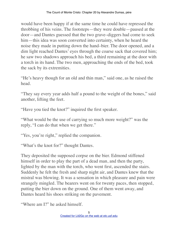would have been happy if at the same time he could have repressed the throbbing of his veins. The footsteps—they were double—paused at the door—and Dantes guessed that the two grave–diggers had come to seek him—this idea was soon converted into certainty, when he heard the noise they made in putting down the hand–bier. The door opened, and a dim light reached Dantes' eyes through the coarse sack that covered him; he saw two shadows approach his bed, a third remaining at the door with a torch in its hand. The two men, approaching the ends of the bed, took the sack by its extremities.

"He's heavy though for an old and thin man," said one, as he raised the head.

"They say every year adds half a pound to the weight of the bones," said another, lifting the feet.

"Have you tied the knot?" inquired the first speaker.

"What would be the use of carrying so much more weight?" was the reply, "I can do that when we get there."

"Yes, you're right," replied the companion.

"What's the knot for?" thought Dantes.

They deposited the supposed corpse on the bier. Edmond stiffened himself in order to play the part of a dead man, and then the party, lighted by the man with the torch, who went first, ascended the stairs. Suddenly he felt the fresh and sharp night air, and Dantes knew that the mistral was blowing. It was a sensation in which pleasure and pain were strangely mingled. The bearers went on for twenty paces, then stopped, putting the bier down on the ground. One of them went away, and Dantes heard his shoes striking on the pavement.

"Where am I?" he asked himself.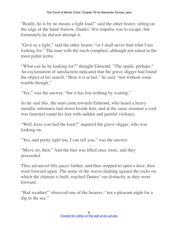"Really, he is by no means a light load!" said the other bearer, sitting on the edge of the hand–barrow. Dantes' first impulse was to escape, but fortunately he did not attempt it.

"Give us a light," said the other bearer, "or I shall never find what I am looking for." The man with the torch complied, although not asked in the most polite terms.

"What can he be looking for?" thought Edmond. "The spade, perhaps." An exclamation of satisfaction indicated that the grave–digger had found the object of his search. "Here it is at last," he said, "not without some trouble though."

"Yes," was the answer, "but it has lost nothing by waiting."

As he said this, the man came towards Edmond, who heard a heavy metallic substance laid down beside him, and at the same moment a cord was fastened round his feet with sudden and painful violence.

"Well, have you tied the knot?" inquired the grave–digger, who was looking on.

"Yes, and pretty tight too, I can tell you," was the answer.

"Move on, then." And the bier was lifted once more, and they proceeded.

They advanced fifty paces farther, and then stopped to open a door, then went forward again. The noise of the waves dashing against the rocks on which the chateau is built, reached Dantes' ear distinctly as they went forward.

"Bad weather!" observed one of the bearers; "not a pleasant night for a dip in the sea."